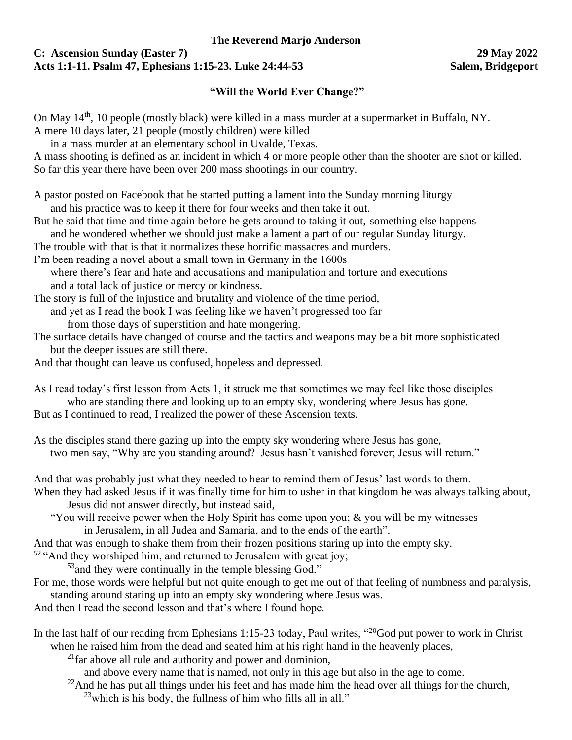## **C: Ascension Sunday (Easter 7) 29 May 2022 Acts 1:1-11. Psalm 47, Ephesians 1:15-23. Luke 24:44-53 Salem, Bridgeport**

## **"Will the World Ever Change?"**

On May 14<sup>th</sup>, 10 people (mostly black) were killed in a mass murder at a supermarket in Buffalo, NY.

A mere 10 days later, 21 people (mostly children) were killed

in a mass murder at an elementary school in Uvalde, Texas. A mass shooting is defined as an incident in which 4 or more people other than the shooter are shot or killed. So far this year there have been over 200 mass shootings in our country.

A pastor posted on Facebook that he started putting a lament into the Sunday morning liturgy and his practice was to keep it there for four weeks and then take it out.

But he said that time and time again before he gets around to taking it out, something else happens and he wondered whether we should just make a lament a part of our regular Sunday liturgy.

The trouble with that is that it normalizes these horrific massacres and murders.

I'm been reading a novel about a small town in Germany in the 1600s

where there's fear and hate and accusations and manipulation and torture and executions and a total lack of justice or mercy or kindness.

The story is full of the injustice and brutality and violence of the time period,

and yet as I read the book I was feeling like we haven't progressed too far

from those days of superstition and hate mongering.

The surface details have changed of course and the tactics and weapons may be a bit more sophisticated but the deeper issues are still there.

And that thought can leave us confused, hopeless and depressed.

As I read today's first lesson from Acts 1, it struck me that sometimes we may feel like those disciples who are standing there and looking up to an empty sky, wondering where Jesus has gone.

But as I continued to read, I realized the power of these Ascension texts.

As the disciples stand there gazing up into the empty sky wondering where Jesus has gone, two men say, "Why are you standing around? Jesus hasn't vanished forever; Jesus will return."

And that was probably just what they needed to hear to remind them of Jesus' last words to them.

When they had asked Jesus if it was finally time for him to usher in that kingdom he was always talking about, Jesus did not answer directly, but instead said,

"You will receive power when the Holy Spirit has come upon you;  $\&$  you will be my witnesses in Jerusalem, in all Judea and Samaria, and to the ends of the earth".

And that was enough to shake them from their frozen positions staring up into the empty sky.

 $52$  "And they worshiped him, and returned to Jerusalem with great joy;

<sup>53</sup> and they were continually in the temple blessing God."

For me, those words were helpful but not quite enough to get me out of that feeling of numbness and paralysis, standing around staring up into an empty sky wondering where Jesus was.

And then I read the second lesson and that's where I found hope.

In the last half of our reading from Ephesians 1:15-23 today, Paul writes, "<sup>20</sup>God put power to work in Christ when he raised him from the dead and seated him at his right hand in the heavenly places,

 $^{21}$ far above all rule and authority and power and dominion,

and above every name that is named, not only in this age but also in the age to come.

- $22$ And he has put all things under his feet and has made him the head over all things for the church,
	- $^{23}$ which is his body, the fullness of him who fills all in all."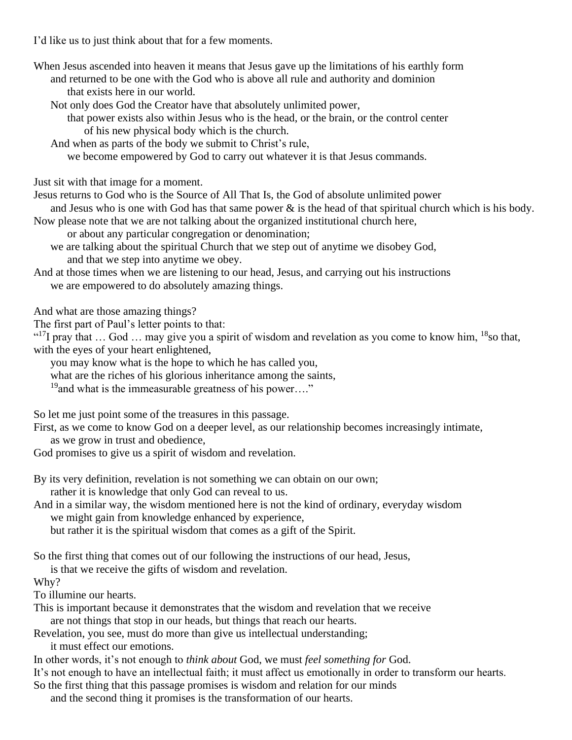I'd like us to just think about that for a few moments.

When Jesus ascended into heaven it means that Jesus gave up the limitations of his earthly form and returned to be one with the God who is above all rule and authority and dominion that exists here in our world.

Not only does God the Creator have that absolutely unlimited power,

that power exists also within Jesus who is the head, or the brain, or the control center of his new physical body which is the church.

And when as parts of the body we submit to Christ's rule,

we become empowered by God to carry out whatever it is that Jesus commands.

Just sit with that image for a moment.

Jesus returns to God who is the Source of All That Is, the God of absolute unlimited power

and Jesus who is one with God has that same power  $\&$  is the head of that spiritual church which is his body. Now please note that we are not talking about the organized institutional church here,

or about any particular congregation or denomination;

we are talking about the spiritual Church that we step out of anytime we disobey God, and that we step into anytime we obey.

And at those times when we are listening to our head, Jesus, and carrying out his instructions we are empowered to do absolutely amazing things.

And what are those amazing things?

The first part of Paul's letter points to that:

"<sup>17</sup>I pray that ... God ... may give you a spirit of wisdom and revelation as you come to know him, <sup>18</sup>so that, with the eyes of your heart enlightened,

you may know what is the hope to which he has called you,

what are the riches of his glorious inheritance among the saints,

 $19$ and what is the immeasurable greatness of his power...."

So let me just point some of the treasures in this passage.

First, as we come to know God on a deeper level, as our relationship becomes increasingly intimate,

as we grow in trust and obedience,

God promises to give us a spirit of wisdom and revelation.

By its very definition, revelation is not something we can obtain on our own; rather it is knowledge that only God can reveal to us.

And in a similar way, the wisdom mentioned here is not the kind of ordinary, everyday wisdom we might gain from knowledge enhanced by experience,

but rather it is the spiritual wisdom that comes as a gift of the Spirit.

So the first thing that comes out of our following the instructions of our head, Jesus,

is that we receive the gifts of wisdom and revelation.

Why?

To illumine our hearts.

This is important because it demonstrates that the wisdom and revelation that we receive are not things that stop in our heads, but things that reach our hearts.

Revelation, you see, must do more than give us intellectual understanding;

it must effect our emotions.

In other words, it's not enough to *think about* God, we must *feel something for* God.

It's not enough to have an intellectual faith; it must affect us emotionally in order to transform our hearts.

So the first thing that this passage promises is wisdom and relation for our minds

and the second thing it promises is the transformation of our hearts.